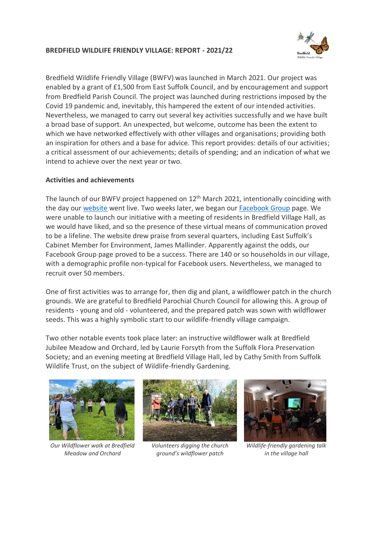## **BREDFIELD WILDLIFE FRIENDLY VILLAGE: REPORT - 2021/22**



Bredfield Wildlife Friendly Village (BWFV) was launched in March 2021. Our project was enabled by a grant of £1,500 from East Suffolk Council, and by encouragement and support from Bredfield Parish Council. The project was launched during restrictions imposed by the Covid 19 pandemic and, inevitably, this hampered the extent of our intended activities. Nevertheless, we managed to carry out several key activities successfully and we have built a broad base of support. An unexpected, but welcome, outcome has been the extent to which we have networked effectively with other villages and organisations; providing both an inspiration for others and a base for advice. This report provides: details of our activities; a critical assessment of our achievements; details of spending; and an indication of what we intend to achieve over the next year or two.

## **Activities and achievements**

The launch of our BWFV project happened on 12<sup>th</sup> March 2021, intentionally coinciding with the day ou[r website](https://bredfieldwfv.org.uk/) went live. Two weeks later, we began our **Facebook Group** page. We were unable to launch our initiative with a meeting of residents in Bredfield Village Hall, as we would have liked, and so the presence of these virtual means of communication proved to be a lifeline. The website drew praise from several quarters, including East Suffolk's Cabinet Member for Environment, James Mallinder. Apparently against the odds, our Facebook Group page proved to be a success. There are 140 or so households in our village, with a demographic profile non-typical for Facebook users. Nevertheless, we managed to recruit over 50 members.

One of first activities was to arrange for, then dig and plant, a wildflower patch in the church grounds. We are grateful to Bredfield Parochial Church Council for allowing this. A group of residents - young and old - volunteered, and the prepared patch was sown with wildflower seeds. This was a highly symbolic start to our wildlife-friendly village campaign.

Two other notable events took place later: an instructive wildflower walk at Bredfield Jubilee Meadow and Orchard, led by Laurie Forsyth from the Suffolk Flora Preservation Society; and an evening meeting at Bredfield Village Hall, led by Cathy Smith from Suffolk Wildlife Trust, on the subject of Wildlife-friendly Gardening.



*Our Wildflower walk at Bredfield Meadow and Orchard*



*Volunteers digging the church ground's wildflower patch* 



*Wildlife-friendly gardening talk in the village hall*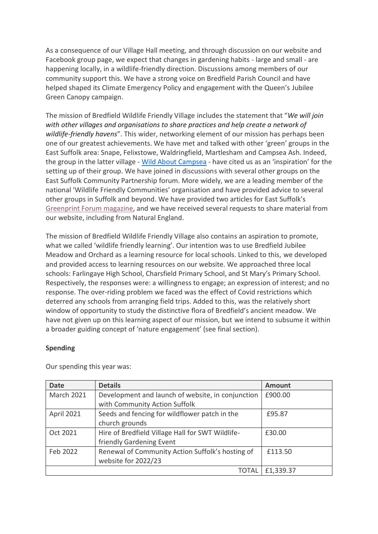As a consequence of our Village Hall meeting, and through discussion on our website and Facebook group page, we expect that changes in gardening habits - large and small - are happening locally, in a wildlife-friendly direction. Discussions among members of our community support this. We have a strong voice on Bredfield Parish Council and have helped shaped its Climate Emergency Policy and engagement with the Queen's Jubilee Green Canopy campaign.

The mission of Bredfield Wildlife Friendly Village includes the statement that "*We will join with other villages and organisations to share practices and help create a network of wildlife-friendly havens*". This wider, networking element of our mission has perhaps been one of our greatest achievements. We have met and talked with other 'green' groups in the East Suffolk area: Snape, Felixstowe, Waldringfield, Martlesham and Campsea Ash. Indeed, the group in the latter village - [Wild About Campsea](http://www.campseaashe.onesuffolk.net/assets/WAC-brochure-070721.pdf) - have cited us as an 'inspiration' for the setting up of their group. We have joined in discussions with several other groups on the East Suffolk Community Partnership forum. More widely, we are a leading member of the national 'Wildlife Friendly Communities' organisation and have provided advice to several other groups in Suffolk and beyond. We have provided two articles for East Suffolk's [Greenprint Forum](https://www.eastsuffolk.gov.uk/assets/Environment/Green-Issues/Newsletters/2021/Greenprint-newsletter-spring-to-early-summer-2021.pdf?fbclid=IwAR2w1ztyZyZesJvCkKpOPYGY63Na3SI0RR8xNQRXhG6cipyPXcsj8VpAVg4) magazine, and we have received several requests to share material from our website, including from Natural England.

The mission of Bredfield Wildlife Friendly Village also contains an aspiration to promote, what we called 'wildlife friendly learning'. Our intention was to use Bredfield Jubilee Meadow and Orchard as a learning resource for local schools. Linked to this, we developed and provided access to learning resources on our website. We approached three local schools: Farlingaye High School, Charsfield Primary School, and St Mary's Primary School. Respectively, the responses were: a willingness to engage; an expression of interest; and no response. The over-riding problem we faced was the effect of Covid restrictions which deterred any schools from arranging field trips. Added to this, was the relatively short window of opportunity to study the distinctive flora of Bredfield's ancient meadow. We have not given up on this learning aspect of our mission, but we intend to subsume it within a broader guiding concept of 'nature engagement' (see final section).

## **Spending**

| <b>Date</b>       | <b>Details</b>                                    | <b>Amount</b> |
|-------------------|---------------------------------------------------|---------------|
| <b>March 2021</b> | Development and launch of website, in conjunction | £900.00       |
|                   | with Community Action Suffolk                     |               |
| April 2021        | Seeds and fencing for wildflower patch in the     | £95.87        |
|                   | church grounds                                    |               |
| Oct 2021          | Hire of Bredfield Village Hall for SWT Wildlife-  | £30.00        |
|                   | friendly Gardening Event                          |               |
| Feb 2022          | Renewal of Community Action Suffolk's hosting of  | £113.50       |
|                   | website for 2022/23                               |               |
|                   | TOTAL                                             | £1,339.37     |

Our spending this year was: